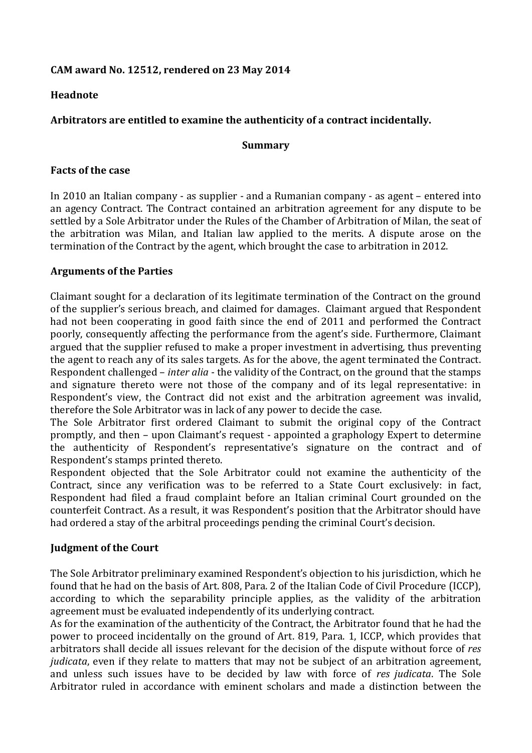# **CAM award No. 12512, rendered on 23 May 2014**

## **Headnote**

# **Arbitrators are entitled to examine the authenticity of a contract incidentally.**

#### **Summary**

### **Facts of the case**

In 2010 an Italian company - as supplier - and a Rumanian company - as agent – entered into an agency Contract. The Contract contained an arbitration agreement for any dispute to be settled by a Sole Arbitrator under the Rules of the Chamber of Arbitration of Milan, the seat of the arbitration was Milan, and Italian law applied to the merits. A dispute arose on the termination of the Contract by the agent, which brought the case to arbitration in 2012.

### **Arguments of the Parties**

Claimant sought for a declaration of its legitimate termination of the Contract on the ground of the supplier's serious breach, and claimed for damages. Claimant argued that Respondent had not been cooperating in good faith since the end of 2011 and performed the Contract poorly, consequently affecting the performance from the agent's side. Furthermore, Claimant argued that the supplier refused to make a proper investment in advertising, thus preventing the agent to reach any of its sales targets. As for the above, the agent terminated the Contract. Respondent challenged – *inter alia* - the validity of the Contract, on the ground that the stamps and signature thereto were not those of the company and of its legal representative: in Respondent's view, the Contract did not exist and the arbitration agreement was invalid, therefore the Sole Arbitrator was in lack of any power to decide the case.

The Sole Arbitrator first ordered Claimant to submit the original copy of the Contract promptly, and then – upon Claimant's request - appointed a graphology Expert to determine the authenticity of Respondent's representative's signature on the contract and of Respondent's stamps printed thereto.

Respondent objected that the Sole Arbitrator could not examine the authenticity of the Contract, since any verification was to be referred to a State Court exclusively: in fact, Respondent had filed a fraud complaint before an Italian criminal Court grounded on the counterfeit Contract. As a result, it was Respondent's position that the Arbitrator should have had ordered a stay of the arbitral proceedings pending the criminal Court's decision.

## **Judgment of the Court**

The Sole Arbitrator preliminary examined Respondent's objection to his jurisdiction, which he found that he had on the basis of Art. 808, Para. 2 of the Italian Code of Civil Procedure (ICCP), according to which the separability principle applies, as the validity of the arbitration agreement must be evaluated independently of its underlying contract.

As for the examination of the authenticity of the Contract, the Arbitrator found that he had the power to proceed incidentally on the ground of Art. 819, Para. 1, ICCP, which provides that arbitrators shall decide all issues relevant for the decision of the dispute without force of *res judicata*, even if they relate to matters that may not be subject of an arbitration agreement, and unless such issues have to be decided by law with force of *res judicata*. The Sole Arbitrator ruled in accordance with eminent scholars and made a distinction between the